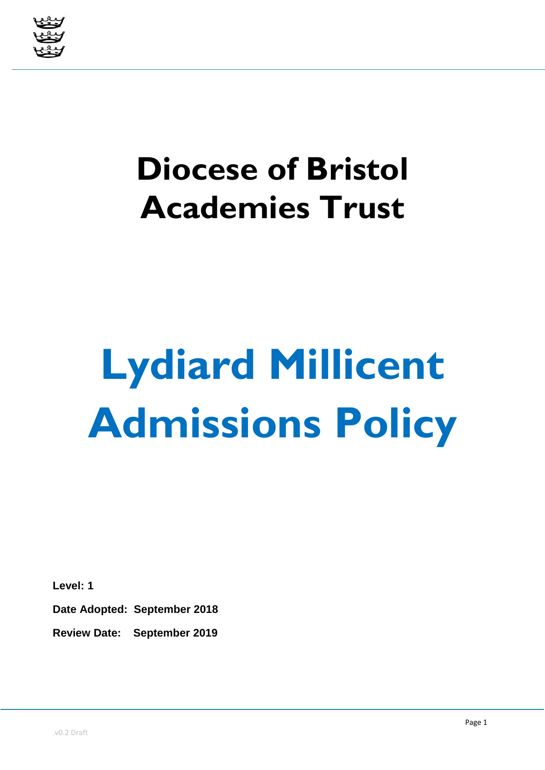

## **Diocese of Bristol Academies Trust**

# **Lydiard Millicent Admissions Policy**

**Level: 1**

**Date Adopted: September 2018**

**Review Date: September 2019**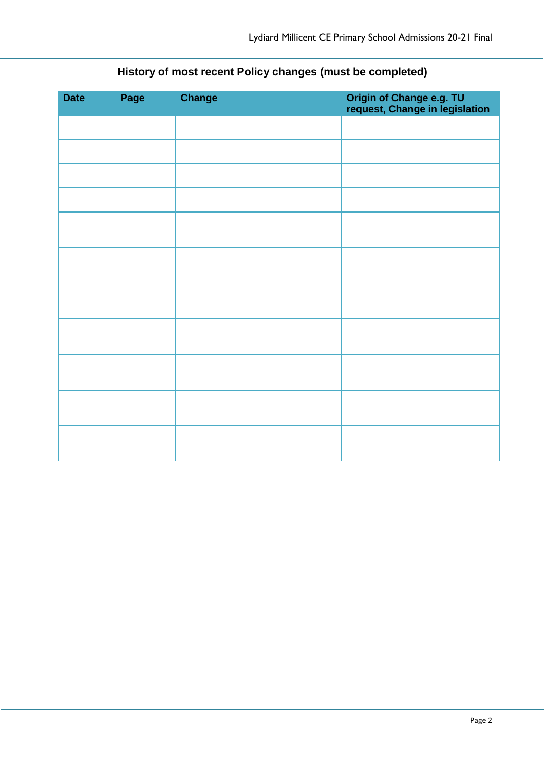| <b>Date</b> | Page | <b>Change</b> | Origin of Change e.g. TU<br>request, Change in legislation |
|-------------|------|---------------|------------------------------------------------------------|
|             |      |               |                                                            |
|             |      |               |                                                            |
|             |      |               |                                                            |
|             |      |               |                                                            |
|             |      |               |                                                            |
|             |      |               |                                                            |
|             |      |               |                                                            |
|             |      |               |                                                            |
|             |      |               |                                                            |
|             |      |               |                                                            |
|             |      |               |                                                            |

### **History of most recent Policy changes (must be completed)**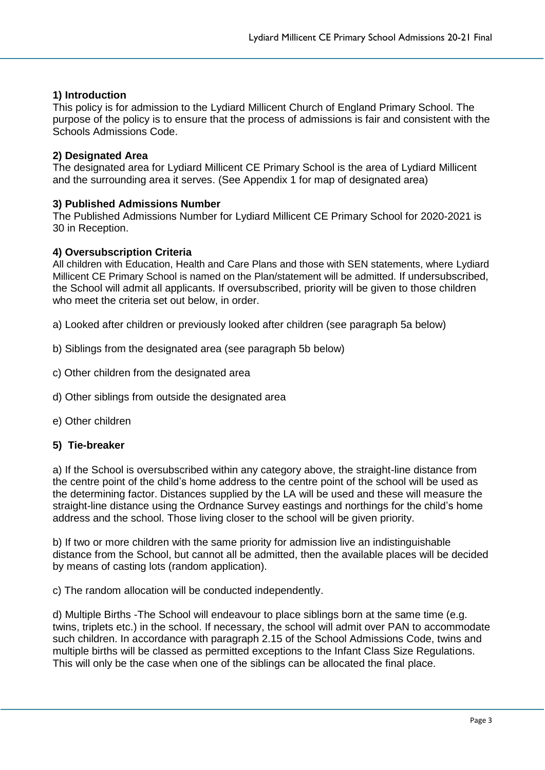#### **1) Introduction**

This policy is for admission to the Lydiard Millicent Church of England Primary School. The purpose of the policy is to ensure that the process of admissions is fair and consistent with the Schools Admissions Code.

#### **2) Designated Area**

The designated area for Lydiard Millicent CE Primary School is the area of Lydiard Millicent and the surrounding area it serves. (See Appendix 1 for map of designated area)

#### **3) Published Admissions Number**

The Published Admissions Number for Lydiard Millicent CE Primary School for 2020-2021 is 30 in Reception.

#### **4) Oversubscription Criteria**

All children with Education, Health and Care Plans and those with SEN statements, where Lydiard Millicent CE Primary School is named on the Plan/statement will be admitted. If undersubscribed, the School will admit all applicants. If oversubscribed, priority will be given to those children who meet the criteria set out below, in order.

a) Looked after children or previously looked after children (see paragraph 5a below)

- b) Siblings from the designated area (see paragraph 5b below)
- c) Other children from the designated area
- d) Other siblings from outside the designated area
- e) Other children

#### **5) Tie-breaker**

a) If the School is oversubscribed within any category above, the straight-line distance from the centre point of the child's home address to the centre point of the school will be used as the determining factor. Distances supplied by the LA will be used and these will measure the straight-line distance using the Ordnance Survey eastings and northings for the child's home address and the school. Those living closer to the school will be given priority.

b) If two or more children with the same priority for admission live an indistinguishable distance from the School, but cannot all be admitted, then the available places will be decided by means of casting lots (random application).

c) The random allocation will be conducted independently.

d) Multiple Births -The School will endeavour to place siblings born at the same time (e.g. twins, triplets etc.) in the school. If necessary, the school will admit over PAN to accommodate such children. In accordance with paragraph 2.15 of the School Admissions Code, twins and multiple births will be classed as permitted exceptions to the Infant Class Size Regulations. This will only be the case when one of the siblings can be allocated the final place.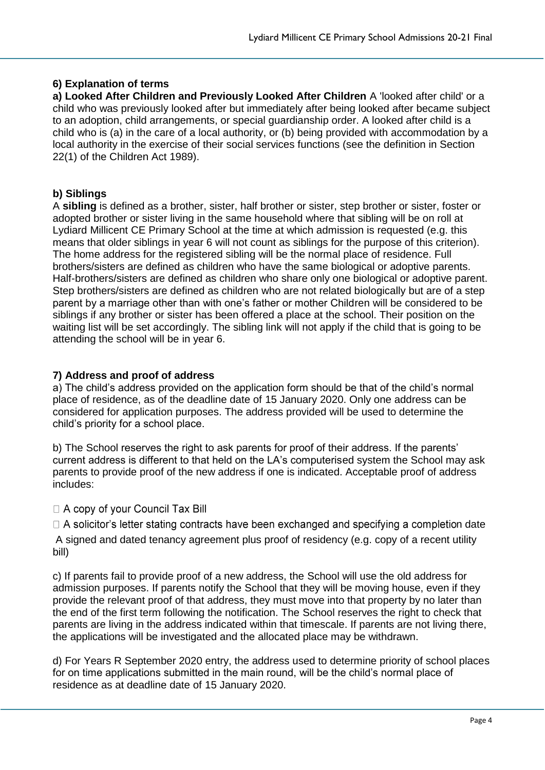#### **6) Explanation of terms**

**a) Looked After Children and Previously Looked After Children** A 'looked after child' or a child who was previously looked after but immediately after being looked after became subject to an adoption, child arrangements, or special guardianship order. A looked after child is a child who is (a) in the care of a local authority, or (b) being provided with accommodation by a local authority in the exercise of their social services functions (see the definition in Section 22(1) of the Children Act 1989).

#### **b) Siblings**

A **sibling** is defined as a brother, sister, half brother or sister, step brother or sister, foster or adopted brother or sister living in the same household where that sibling will be on roll at Lydiard Millicent CE Primary School at the time at which admission is requested (e.g. this means that older siblings in year 6 will not count as siblings for the purpose of this criterion). The home address for the registered sibling will be the normal place of residence. Full brothers/sisters are defined as children who have the same biological or adoptive parents. Half-brothers/sisters are defined as children who share only one biological or adoptive parent. Step brothers/sisters are defined as children who are not related biologically but are of a step parent by a marriage other than with one's father or mother Children will be considered to be siblings if any brother or sister has been offered a place at the school. Their position on the waiting list will be set accordingly. The sibling link will not apply if the child that is going to be attending the school will be in year 6.

#### **7) Address and proof of address**

a) The child's address provided on the application form should be that of the child's normal place of residence, as of the deadline date of 15 January 2020. Only one address can be considered for application purposes. The address provided will be used to determine the child's priority for a school place.

b) The School reserves the right to ask parents for proof of their address. If the parents' current address is different to that held on the LA's computerised system the School may ask parents to provide proof of the new address if one is indicated. Acceptable proof of address includes:

#### □ A copy of your Council Tax Bill

 $\Box$  A solicitor's letter stating contracts have been exchanged and specifying a completion date A signed and dated tenancy agreement plus proof of residency (e.g. copy of a recent utility bill)

c) If parents fail to provide proof of a new address, the School will use the old address for admission purposes. If parents notify the School that they will be moving house, even if they provide the relevant proof of that address, they must move into that property by no later than the end of the first term following the notification. The School reserves the right to check that parents are living in the address indicated within that timescale. If parents are not living there, the applications will be investigated and the allocated place may be withdrawn.

d) For Years R September 2020 entry, the address used to determine priority of school places for on time applications submitted in the main round, will be the child's normal place of residence as at deadline date of 15 January 2020.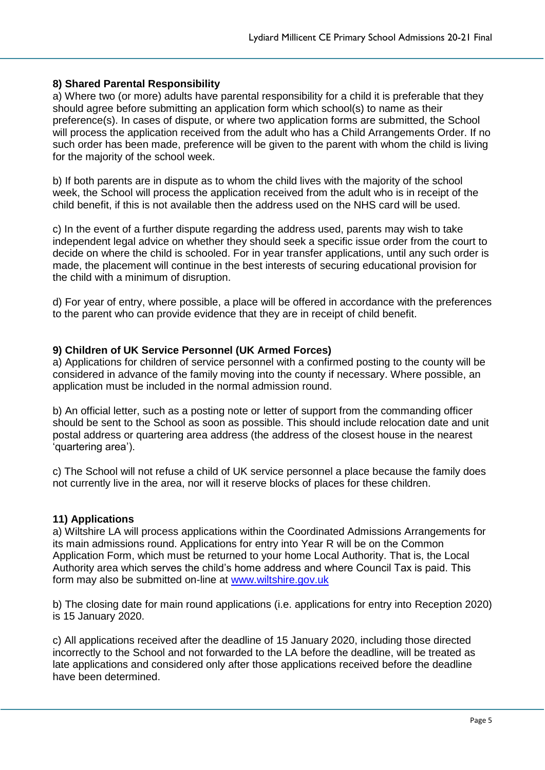#### **8) Shared Parental Responsibility**

a) Where two (or more) adults have parental responsibility for a child it is preferable that they should agree before submitting an application form which school(s) to name as their preference(s). In cases of dispute, or where two application forms are submitted, the School will process the application received from the adult who has a Child Arrangements Order. If no such order has been made, preference will be given to the parent with whom the child is living for the majority of the school week.

b) If both parents are in dispute as to whom the child lives with the majority of the school week, the School will process the application received from the adult who is in receipt of the child benefit, if this is not available then the address used on the NHS card will be used.

c) In the event of a further dispute regarding the address used, parents may wish to take independent legal advice on whether they should seek a specific issue order from the court to decide on where the child is schooled. For in year transfer applications, until any such order is made, the placement will continue in the best interests of securing educational provision for the child with a minimum of disruption.

d) For year of entry, where possible, a place will be offered in accordance with the preferences to the parent who can provide evidence that they are in receipt of child benefit.

#### **9) Children of UK Service Personnel (UK Armed Forces)**

a) Applications for children of service personnel with a confirmed posting to the county will be considered in advance of the family moving into the county if necessary. Where possible, an application must be included in the normal admission round.

b) An official letter, such as a posting note or letter of support from the commanding officer should be sent to the School as soon as possible. This should include relocation date and unit postal address or quartering area address (the address of the closest house in the nearest 'quartering area').

c) The School will not refuse a child of UK service personnel a place because the family does not currently live in the area, nor will it reserve blocks of places for these children.

#### **11) Applications**

a) Wiltshire LA will process applications within the Coordinated Admissions Arrangements for its main admissions round. Applications for entry into Year R will be on the Common Application Form, which must be returned to your home Local Authority. That is, the Local Authority area which serves the child's home address and where Council Tax is paid. This form may also be submitted on-line at [www.wiltshire.gov.uk](http://www.wiltshire.gov.uk/)

b) The closing date for main round applications (i.e. applications for entry into Reception 2020) is 15 January 2020.

c) All applications received after the deadline of 15 January 2020, including those directed incorrectly to the School and not forwarded to the LA before the deadline, will be treated as late applications and considered only after those applications received before the deadline have been determined.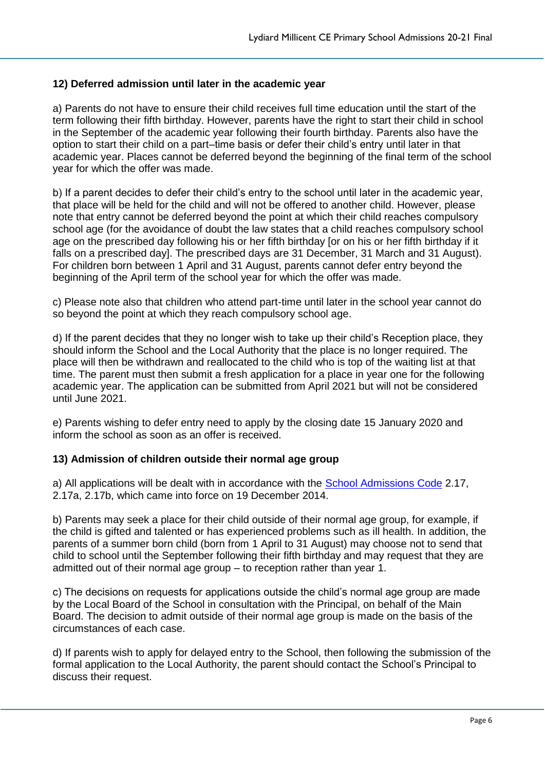#### **12) Deferred admission until later in the academic year**

a) Parents do not have to ensure their child receives full time education until the start of the term following their fifth birthday. However, parents have the right to start their child in school in the September of the academic year following their fourth birthday. Parents also have the option to start their child on a part–time basis or defer their child's entry until later in that academic year. Places cannot be deferred beyond the beginning of the final term of the school year for which the offer was made.

b) If a parent decides to defer their child's entry to the school until later in the academic year, that place will be held for the child and will not be offered to another child. However, please note that entry cannot be deferred beyond the point at which their child reaches compulsory school age (for the avoidance of doubt the law states that a child reaches compulsory school age on the prescribed day following his or her fifth birthday [or on his or her fifth birthday if it falls on a prescribed day]. The prescribed days are 31 December, 31 March and 31 August). For children born between 1 April and 31 August, parents cannot defer entry beyond the beginning of the April term of the school year for which the offer was made.

c) Please note also that children who attend part-time until later in the school year cannot do so beyond the point at which they reach compulsory school age.

d) If the parent decides that they no longer wish to take up their child's Reception place, they should inform the School and the Local Authority that the place is no longer required. The place will then be withdrawn and reallocated to the child who is top of the waiting list at that time. The parent must then submit a fresh application for a place in year one for the following academic year. The application can be submitted from April 2021 but will not be considered until June 2021.

e) Parents wishing to defer entry need to apply by the closing date 15 January 2020 and inform the school as soon as an offer is received.

#### **13) Admission of children outside their normal age group**

a) All applications will be dealt with in accordance with the [School Admissions Code](https://www.gov.uk/government/uploads/system/uploads/attachment_data/file/389388/School_Admissions_Code_2014_-_19_Dec.pdf) 2.17, 2.17a, 2.17b, which came into force on 19 December 2014.

b) Parents may seek a place for their child outside of their normal age group, for example, if the child is gifted and talented or has experienced problems such as ill health. In addition, the parents of a summer born child (born from 1 April to 31 August) may choose not to send that child to school until the September following their fifth birthday and may request that they are admitted out of their normal age group – to reception rather than year 1.

c) The decisions on requests for applications outside the child's normal age group are made by the Local Board of the School in consultation with the Principal, on behalf of the Main Board. The decision to admit outside of their normal age group is made on the basis of the circumstances of each case.

d) If parents wish to apply for delayed entry to the School, then following the submission of the formal application to the Local Authority, the parent should contact the School's Principal to discuss their request.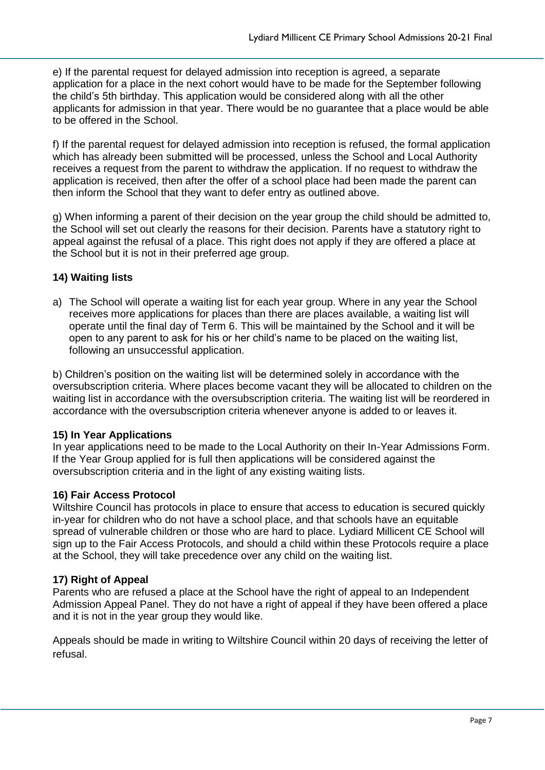e) If the parental request for delayed admission into reception is agreed, a separate application for a place in the next cohort would have to be made for the September following the child's 5th birthday. This application would be considered along with all the other applicants for admission in that year. There would be no guarantee that a place would be able to be offered in the School.

f) If the parental request for delayed admission into reception is refused, the formal application which has already been submitted will be processed, unless the School and Local Authority receives a request from the parent to withdraw the application. If no request to withdraw the application is received, then after the offer of a school place had been made the parent can then inform the School that they want to defer entry as outlined above.

g) When informing a parent of their decision on the year group the child should be admitted to, the School will set out clearly the reasons for their decision. Parents have a statutory right to appeal against the refusal of a place. This right does not apply if they are offered a place at the School but it is not in their preferred age group.

#### **14) Waiting lists**

a) The School will operate a waiting list for each year group. Where in any year the School receives more applications for places than there are places available, a waiting list will operate until the final day of Term 6. This will be maintained by the School and it will be open to any parent to ask for his or her child's name to be placed on the waiting list, following an unsuccessful application.

b) Children's position on the waiting list will be determined solely in accordance with the oversubscription criteria. Where places become vacant they will be allocated to children on the waiting list in accordance with the oversubscription criteria. The waiting list will be reordered in accordance with the oversubscription criteria whenever anyone is added to or leaves it.

#### **15) In Year Applications**

In year applications need to be made to the Local Authority on their In-Year Admissions Form. If the Year Group applied for is full then applications will be considered against the oversubscription criteria and in the light of any existing waiting lists.

#### **16) Fair Access Protocol**

Wiltshire Council has protocols in place to ensure that access to education is secured quickly in-year for children who do not have a school place, and that schools have an equitable spread of vulnerable children or those who are hard to place. Lydiard Millicent CE School will sign up to the Fair Access Protocols, and should a child within these Protocols require a place at the School, they will take precedence over any child on the waiting list.

#### **17) Right of Appeal**

Parents who are refused a place at the School have the right of appeal to an Independent Admission Appeal Panel. They do not have a right of appeal if they have been offered a place and it is not in the year group they would like.

Appeals should be made in writing to Wiltshire Council within 20 days of receiving the letter of refusal.